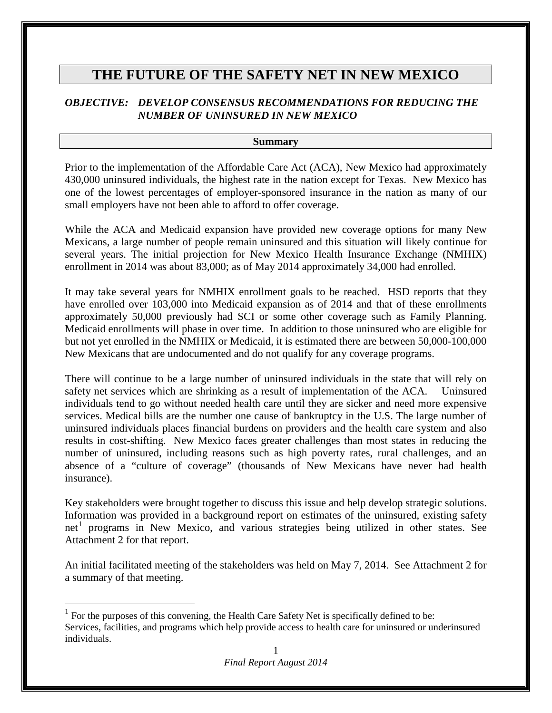# **THE FUTURE OF THE SAFETY NET IN NEW MEXICO**

## *OBJECTIVE: DEVELOP CONSENSUS RECOMMENDATIONS FOR REDUCING THE NUMBER OF UNINSURED IN NEW MEXICO*

#### **Summary**

Prior to the implementation of the Affordable Care Act (ACA), New Mexico had approximately 430,000 uninsured individuals, the highest rate in the nation except for Texas. New Mexico has one of the lowest percentages of employer-sponsored insurance in the nation as many of our small employers have not been able to afford to offer coverage.

While the ACA and Medicaid expansion have provided new coverage options for many New Mexicans, a large number of people remain uninsured and this situation will likely continue for several years. The initial projection for New Mexico Health Insurance Exchange (NMHIX) enrollment in 2014 was about 83,000; as of May 2014 approximately 34,000 had enrolled.

It may take several years for NMHIX enrollment goals to be reached. HSD reports that they have enrolled over 103,000 into Medicaid expansion as of 2014 and that of these enrollments approximately 50,000 previously had SCI or some other coverage such as Family Planning. Medicaid enrollments will phase in over time. In addition to those uninsured who are eligible for but not yet enrolled in the NMHIX or Medicaid, it is estimated there are between 50,000-100,000 New Mexicans that are undocumented and do not qualify for any coverage programs.

There will continue to be a large number of uninsured individuals in the state that will rely on safety net services which are shrinking as a result of implementation of the ACA. Uninsured individuals tend to go without needed health care until they are sicker and need more expensive services. Medical bills are the number one cause of bankruptcy in the U.S. The large number of uninsured individuals places financial burdens on providers and the health care system and also results in cost-shifting. New Mexico faces greater challenges than most states in reducing the number of uninsured, including reasons such as high poverty rates, rural challenges, and an absence of a "culture of coverage" (thousands of New Mexicans have never had health insurance).

Key stakeholders were brought together to discuss this issue and help develop strategic solutions. Information was provided in a background report on estimates of the uninsured, existing safety  $net<sup>1</sup>$  $net<sup>1</sup>$  $net<sup>1</sup>$  programs in New Mexico, and various strategies being utilized in other states. See Attachment 2 for that report.

An initial facilitated meeting of the stakeholders was held on May 7, 2014. See Attachment 2 for a summary of that meeting.

<span id="page-0-0"></span> $1$  For the purposes of this convening, the Health Care Safety Net is specifically defined to be: Services, facilities, and programs which help provide access to health care for uninsured or underinsured individuals.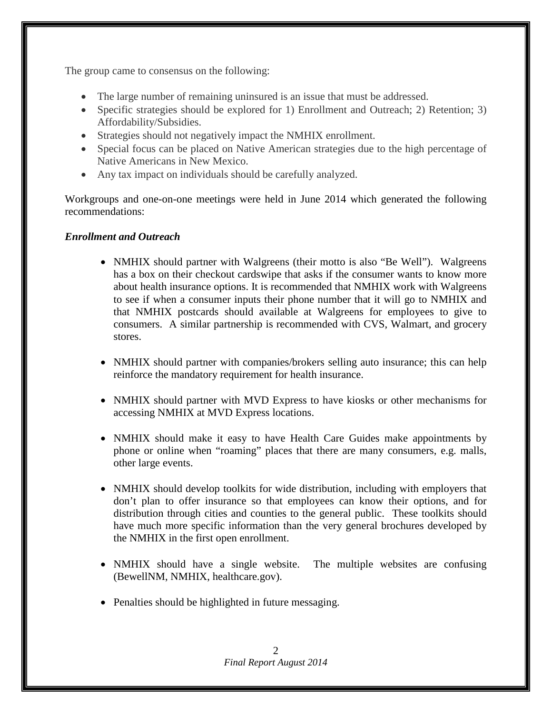The group came to consensus on the following:

- The large number of remaining uninsured is an issue that must be addressed.
- Specific strategies should be explored for 1) Enrollment and Outreach; 2) Retention; 3) Affordability/Subsidies.
- Strategies should not negatively impact the NMHIX enrollment.
- Special focus can be placed on Native American strategies due to the high percentage of Native Americans in New Mexico.
- Any tax impact on individuals should be carefully analyzed.

Workgroups and one-on-one meetings were held in June 2014 which generated the following recommendations:

## *Enrollment and Outreach*

- NMHIX should partner with Walgreens (their motto is also "Be Well"). Walgreens has a box on their checkout cardswipe that asks if the consumer wants to know more about health insurance options. It is recommended that NMHIX work with Walgreens to see if when a consumer inputs their phone number that it will go to NMHIX and that NMHIX postcards should available at Walgreens for employees to give to consumers. A similar partnership is recommended with CVS, Walmart, and grocery stores.
- NMHIX should partner with companies/brokers selling auto insurance; this can help reinforce the mandatory requirement for health insurance.
- NMHIX should partner with MVD Express to have kiosks or other mechanisms for accessing NMHIX at MVD Express locations.
- NMHIX should make it easy to have Health Care Guides make appointments by phone or online when "roaming" places that there are many consumers, e.g. malls, other large events.
- NMHIX should develop toolkits for wide distribution, including with employers that don't plan to offer insurance so that employees can know their options, and for distribution through cities and counties to the general public. These toolkits should have much more specific information than the very general brochures developed by the NMHIX in the first open enrollment.
- NMHIX should have a single website. The multiple websites are confusing (BewellNM, NMHIX, healthcare.gov).
- Penalties should be highlighted in future messaging.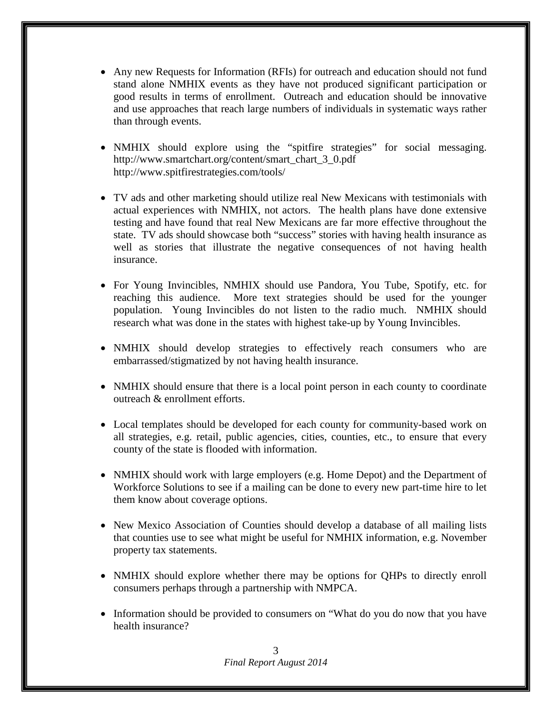- Any new Requests for Information (RFIs) for outreach and education should not fund stand alone NMHIX events as they have not produced significant participation or good results in terms of enrollment. Outreach and education should be innovative and use approaches that reach large numbers of individuals in systematic ways rather than through events.
- NMHIX should explore using the "spitfire strategies" for social messaging. [http://www.smartchart.org/content/smart\\_chart\\_3\\_0.pdf](http://www.smartchart.org/content/smart_chart_3_0.pdf)  <http://www.spitfirestrategies.com/tools/>
- TV ads and other marketing should utilize real New Mexicans with testimonials with actual experiences with NMHIX, not actors. The health plans have done extensive testing and have found that real New Mexicans are far more effective throughout the state. TV ads should showcase both "success" stories with having health insurance as well as stories that illustrate the negative consequences of not having health insurance.
- For Young Invincibles, NMHIX should use Pandora, You Tube, Spotify, etc. for reaching this audience. More text strategies should be used for the younger population. Young Invincibles do not listen to the radio much. NMHIX should research what was done in the states with highest take-up by Young Invincibles.
- NMHIX should develop strategies to effectively reach consumers who are embarrassed/stigmatized by not having health insurance.
- NMHIX should ensure that there is a local point person in each county to coordinate outreach & enrollment efforts.
- Local templates should be developed for each county for community-based work on all strategies, e.g. retail, public agencies, cities, counties, etc., to ensure that every county of the state is flooded with information.
- NMHIX should work with large employers (e.g. Home Depot) and the Department of Workforce Solutions to see if a mailing can be done to every new part-time hire to let them know about coverage options.
- New Mexico Association of Counties should develop a database of all mailing lists that counties use to see what might be useful for NMHIX information, e.g. November property tax statements.
- NMHIX should explore whether there may be options for QHPs to directly enroll consumers perhaps through a partnership with NMPCA.
- Information should be provided to consumers on "What do you do now that you have health insurance?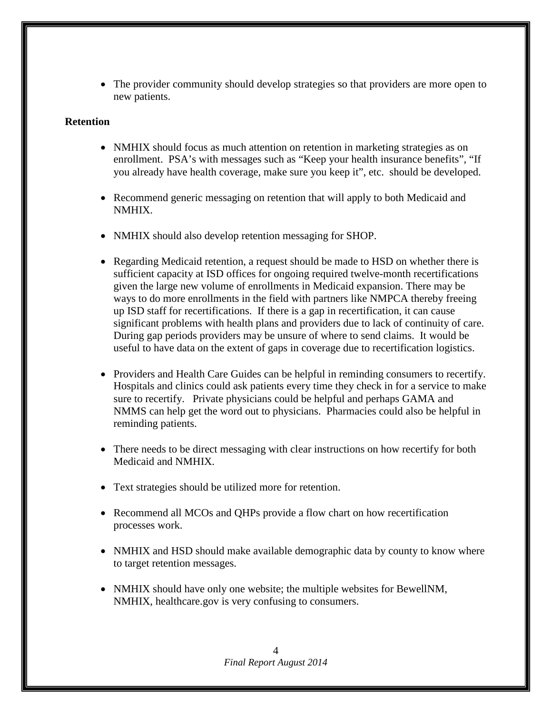• The provider community should develop strategies so that providers are more open to new patients.

## **Retention**

- NMHIX should focus as much attention on retention in marketing strategies as on enrollment. PSA's with messages such as "Keep your health insurance benefits", "If you already have health coverage, make sure you keep it", etc. should be developed.
- Recommend generic messaging on retention that will apply to both Medicaid and NMHIX.
- NMHIX should also develop retention messaging for SHOP.
- Regarding Medicaid retention, a request should be made to HSD on whether there is sufficient capacity at ISD offices for ongoing required twelve-month recertifications given the large new volume of enrollments in Medicaid expansion. There may be ways to do more enrollments in the field with partners like NMPCA thereby freeing up ISD staff for recertifications. If there is a gap in recertification, it can cause significant problems with health plans and providers due to lack of continuity of care. During gap periods providers may be unsure of where to send claims. It would be useful to have data on the extent of gaps in coverage due to recertification logistics.
- Providers and Health Care Guides can be helpful in reminding consumers to recertify. Hospitals and clinics could ask patients every time they check in for a service to make sure to recertify. Private physicians could be helpful and perhaps GAMA and NMMS can help get the word out to physicians. Pharmacies could also be helpful in reminding patients.
- There needs to be direct messaging with clear instructions on how recertify for both Medicaid and NMHIX.
- Text strategies should be utilized more for retention.
- Recommend all MCOs and QHPs provide a flow chart on how recertification processes work.
- NMHIX and HSD should make available demographic data by county to know where to target retention messages.
- NMHIX should have only one website; the multiple websites for BewellNM, NMHIX, healthcare.gov is very confusing to consumers.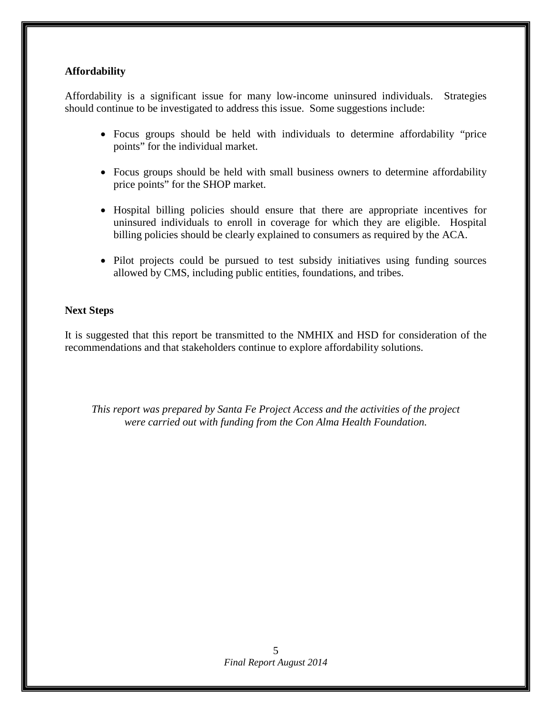## **Affordability**

Affordability is a significant issue for many low-income uninsured individuals. Strategies should continue to be investigated to address this issue. Some suggestions include:

- Focus groups should be held with individuals to determine affordability "price points" for the individual market.
- Focus groups should be held with small business owners to determine affordability price points" for the SHOP market.
- Hospital billing policies should ensure that there are appropriate incentives for uninsured individuals to enroll in coverage for which they are eligible. Hospital billing policies should be clearly explained to consumers as required by the ACA.
- Pilot projects could be pursued to test subsidy initiatives using funding sources allowed by CMS, including public entities, foundations, and tribes.

## **Next Steps**

It is suggested that this report be transmitted to the NMHIX and HSD for consideration of the recommendations and that stakeholders continue to explore affordability solutions.

*This report was prepared by Santa Fe Project Access and the activities of the project were carried out with funding from the Con Alma Health Foundation.*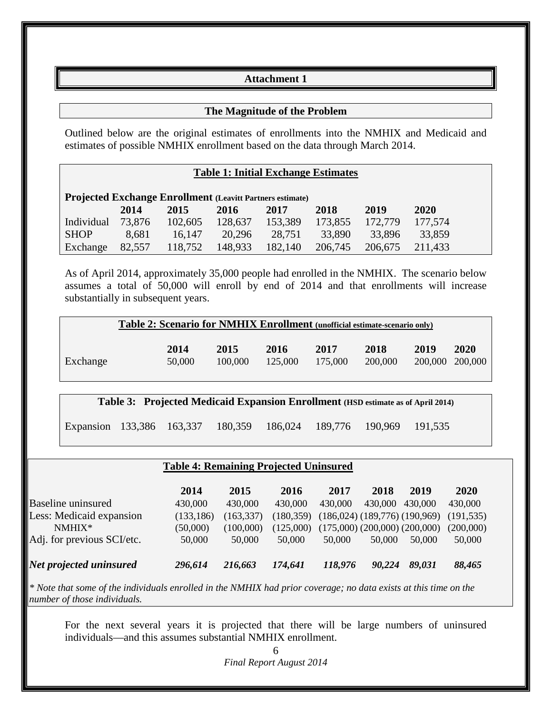## **Attachment 1**

## **The Magnitude of the Problem**

Outlined below are the original estimates of enrollments into the NMHIX and Medicaid and estimates of possible NMHIX enrollment based on the data through March 2014.

#### **Table 1: Initial Exchange Estimates**

| <b>Projected Exchange Enrollment (Leavitt Partners estimate)</b> |        |         |             |         |         |         |         |  |
|------------------------------------------------------------------|--------|---------|-------------|---------|---------|---------|---------|--|
|                                                                  | 2014   | 2015    | <b>2016</b> | 2017    | 2018    | 2019    | 2020    |  |
| Individual                                                       | 73.876 | 102,605 | 128,637     | 153,389 | 173,855 | 172,779 | 177,574 |  |
| <b>SHOP</b>                                                      | 8.681  | 16.147  | 20.296      | 28,751  | 33,890  | 33,896  | 33,859  |  |
| Exchange                                                         | 82,557 | 118,752 | 148,933     | 182,140 | 206,745 | 206,675 | 211,433 |  |

As of April 2014, approximately 35,000 people had enrolled in the NMHIX. The scenario below assumes a total of 50,000 will enroll by end of 2014 and that enrollments will increase substantially in subsequent years.

|          | <b>Table 2: Scenario for NMHIX Enrollment</b> (unofficial estimate-scenario only) |                           |                 |                 |                 |                 |                 |  |  |
|----------|-----------------------------------------------------------------------------------|---------------------------|-----------------|-----------------|-----------------|-----------------|-----------------|--|--|
| Exchange | 2014                                                                              | 2015<br>100,000<br>50,000 | 2016<br>125,000 | 2017<br>175,000 | 2018<br>200,000 | 2019<br>200,000 | 2020<br>200,000 |  |  |

**Table 3: Projected Medicaid Expansion Enrollment (HSD estimate as of April 2014)**

Expansion 133,386 163,337 180,359 186,024 189,776 190,969 191,535

## **Table 4: Remaining Projected Uninsured**

|                            | 2014       | 2015       | 2016       | 2017    | 2018    | 2019                                | <b>2020</b> |
|----------------------------|------------|------------|------------|---------|---------|-------------------------------------|-------------|
| <b>Baseline uninsured</b>  | 430,000    | 430,000    | 430,000    | 430,000 | 430,000 | 430,000                             | 430,000     |
| Less: Medicaid expansion   | (133, 186) | (163, 337) | (180, 359) |         |         | $(186,024)$ $(189,776)$ $(190,969)$ | (191, 535)  |
| $NMHIX*$                   | (50,000)   | (100.000)  | (125,000)  |         |         | $(175,000)$ $(200,000)$ $(200,000)$ | (200,000)   |
| Adj. for previous SCI/etc. | 50,000     | 50,000     | 50,000     | 50,000  | 50,000  | 50.000                              | 50,000      |
| Net projected uninsured    | 296,614    | 216,663    | 174,641    | 118,976 | 90,224  | 89,031                              | 88,465      |

*\* Note that some of the individuals enrolled in the NMHIX had prior coverage; no data exists at this time on the number of those individuals.*

For the next several years it is projected that there will be large numbers of uninsured individuals—and this assumes substantial NMHIX enrollment.

> *Final Report August 2014* 6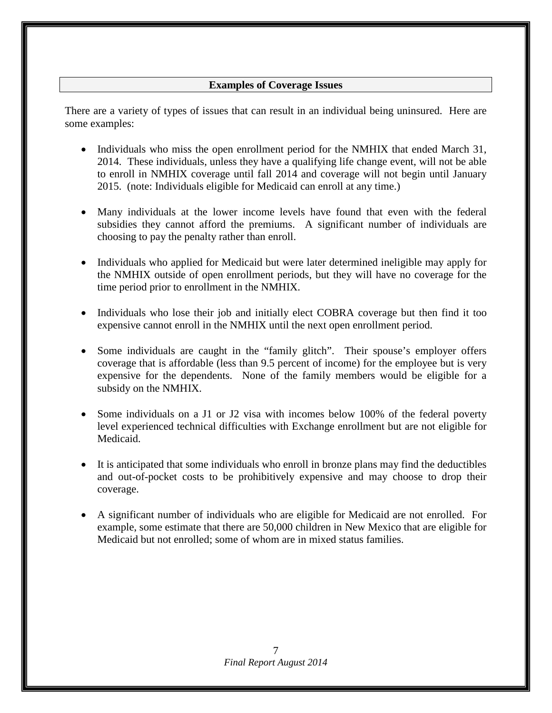## **Examples of Coverage Issues**

There are a variety of types of issues that can result in an individual being uninsured. Here are some examples:

- Individuals who miss the open enrollment period for the NMHIX that ended March 31, 2014. These individuals, unless they have a qualifying life change event, will not be able to enroll in NMHIX coverage until fall 2014 and coverage will not begin until January 2015. (note: Individuals eligible for Medicaid can enroll at any time.)
- Many individuals at the lower income levels have found that even with the federal subsidies they cannot afford the premiums. A significant number of individuals are choosing to pay the penalty rather than enroll.
- Individuals who applied for Medicaid but were later determined ineligible may apply for the NMHIX outside of open enrollment periods, but they will have no coverage for the time period prior to enrollment in the NMHIX.
- Individuals who lose their job and initially elect COBRA coverage but then find it too expensive cannot enroll in the NMHIX until the next open enrollment period.
- Some individuals are caught in the "family glitch". Their spouse's employer offers coverage that is affordable (less than 9.5 percent of income) for the employee but is very expensive for the dependents. None of the family members would be eligible for a subsidy on the NMHIX.
- Some individuals on a J1 or J2 visa with incomes below 100% of the federal poverty level experienced technical difficulties with Exchange enrollment but are not eligible for Medicaid.
- It is anticipated that some individuals who enroll in bronze plans may find the deductibles and out-of-pocket costs to be prohibitively expensive and may choose to drop their coverage.
- A significant number of individuals who are eligible for Medicaid are not enrolled. For example, some estimate that there are 50,000 children in New Mexico that are eligible for Medicaid but not enrolled; some of whom are in mixed status families.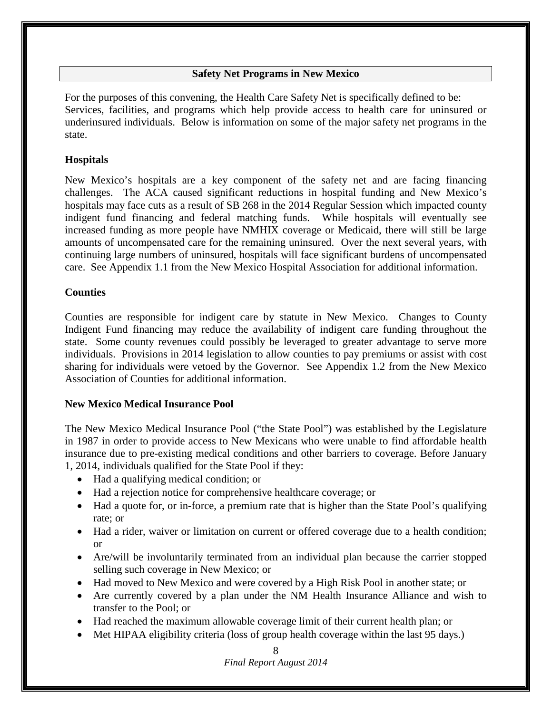## **Safety Net Programs in New Mexico**

For the purposes of this convening, the Health Care Safety Net is specifically defined to be: Services, facilities, and programs which help provide access to health care for uninsured or underinsured individuals. Below is information on some of the major safety net programs in the state.

## **Hospitals**

New Mexico's hospitals are a key component of the safety net and are facing financing challenges. The ACA caused significant reductions in hospital funding and New Mexico's hospitals may face cuts as a result of SB 268 in the 2014 Regular Session which impacted county indigent fund financing and federal matching funds. While hospitals will eventually see increased funding as more people have NMHIX coverage or Medicaid, there will still be large amounts of uncompensated care for the remaining uninsured. Over the next several years, with continuing large numbers of uninsured, hospitals will face significant burdens of uncompensated care. See Appendix 1.1 from the New Mexico Hospital Association for additional information.

## **Counties**

Counties are responsible for indigent care by statute in New Mexico. Changes to County Indigent Fund financing may reduce the availability of indigent care funding throughout the state. Some county revenues could possibly be leveraged to greater advantage to serve more individuals. Provisions in 2014 legislation to allow counties to pay premiums or assist with cost sharing for individuals were vetoed by the Governor. See Appendix 1.2 from the New Mexico Association of Counties for additional information.

## **New Mexico Medical Insurance Pool**

The New Mexico Medical Insurance Pool ("the State Pool") was established by the Legislature in 1987 in order to provide access to New Mexicans who were unable to find affordable health insurance due to pre-existing medical conditions and other barriers to coverage. Before January 1, 2014, individuals qualified for the State Pool if they:

- Had a qualifying medical condition; or
- Had a rejection notice for comprehensive healthcare coverage; or
- Had a quote for, or in-force, a premium rate that is higher than the State Pool's qualifying rate; or
- Had a rider, waiver or limitation on current or offered coverage due to a health condition; or
- Are/will be involuntarily terminated from an individual plan because the carrier stopped selling such coverage in New Mexico; or
- Had moved to New Mexico and were covered by a High Risk Pool in another state; or
- Are currently covered by a plan under the NM Health Insurance Alliance and wish to transfer to the Pool; or
- Had reached the maximum allowable coverage limit of their current health plan; or
- Met HIPAA eligibility criteria (loss of group health coverage within the last 95 days.)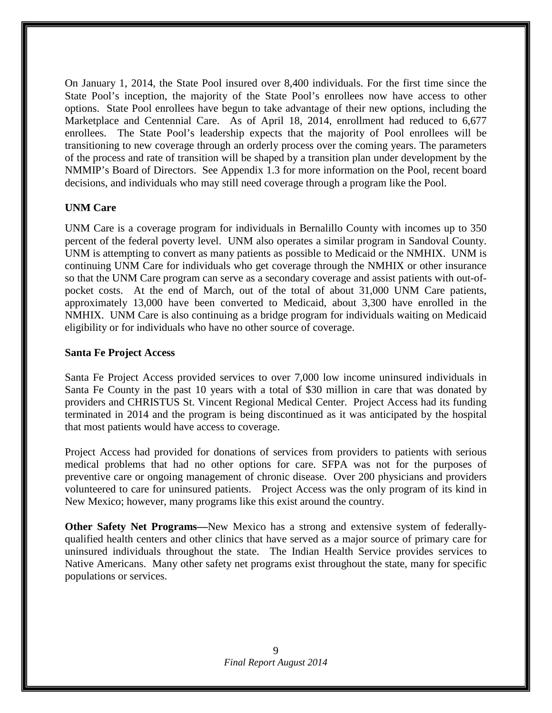On January 1, 2014, the State Pool insured over 8,400 individuals. For the first time since the State Pool's inception, the majority of the State Pool's enrollees now have access to other options. State Pool enrollees have begun to take advantage of their new options, including the Marketplace and Centennial Care. As of April 18, 2014, enrollment had reduced to 6,677 enrollees. The State Pool's leadership expects that the majority of Pool enrollees will be transitioning to new coverage through an orderly process over the coming years. The parameters of the process and rate of transition will be shaped by a transition plan under development by the NMMIP's Board of Directors. See Appendix 1.3 for more information on the Pool, recent board decisions, and individuals who may still need coverage through a program like the Pool.

## **UNM Care**

UNM Care is a coverage program for individuals in Bernalillo County with incomes up to 350 percent of the federal poverty level. UNM also operates a similar program in Sandoval County. UNM is attempting to convert as many patients as possible to Medicaid or the NMHIX. UNM is continuing UNM Care for individuals who get coverage through the NMHIX or other insurance so that the UNM Care program can serve as a secondary coverage and assist patients with out-ofpocket costs. At the end of March, out of the total of about 31,000 UNM Care patients, approximately 13,000 have been converted to Medicaid, about 3,300 have enrolled in the NMHIX. UNM Care is also continuing as a bridge program for individuals waiting on Medicaid eligibility or for individuals who have no other source of coverage.

#### **Santa Fe Project Access**

Santa Fe Project Access provided services to over 7,000 low income uninsured individuals in Santa Fe County in the past 10 years with a total of \$30 million in care that was donated by providers and CHRISTUS St. Vincent Regional Medical Center. Project Access had its funding terminated in 2014 and the program is being discontinued as it was anticipated by the hospital that most patients would have access to coverage.

Project Access had provided for donations of services from providers to patients with serious medical problems that had no other options for care. SFPA was not for the purposes of preventive care or ongoing management of chronic disease. Over 200 physicians and providers volunteered to care for uninsured patients. Project Access was the only program of its kind in New Mexico; however, many programs like this exist around the country.

**Other Safety Net Programs—**New Mexico has a strong and extensive system of federallyqualified health centers and other clinics that have served as a major source of primary care for uninsured individuals throughout the state. The Indian Health Service provides services to Native Americans. Many other safety net programs exist throughout the state, many for specific populations or services.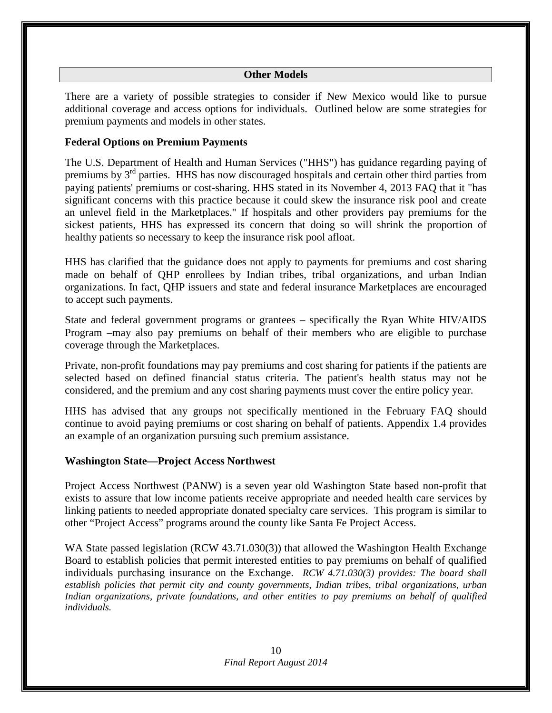## **Other Models**

There are a variety of possible strategies to consider if New Mexico would like to pursue additional coverage and access options for individuals. Outlined below are some strategies for premium payments and models in other states.

## **Federal Options on Premium Payments**

The U.S. Department of Health and Human Services ("HHS") has guidance regarding paying of premiums by 3rd parties. HHS has now discouraged hospitals and certain other third parties from paying patients' premiums or cost-sharing. HHS stated in its November 4, 2013 FAQ that it "has significant concerns with this practice because it could skew the insurance risk pool and create an unlevel field in the Marketplaces." If hospitals and other providers pay premiums for the sickest patients, HHS has expressed its concern that doing so will shrink the proportion of healthy patients so necessary to keep the insurance risk pool afloat.

HHS has clarified that the guidance does not apply to payments for premiums and cost sharing made on behalf of QHP enrollees by Indian tribes, tribal organizations, and urban Indian organizations. In fact, QHP issuers and state and federal insurance Marketplaces are encouraged to accept such payments.

State and federal government programs or grantees – specifically the Ryan White HIV/AIDS Program –may also pay premiums on behalf of their members who are eligible to purchase coverage through the Marketplaces.

Private, non-profit foundations may pay premiums and cost sharing for patients if the patients are selected based on defined financial status criteria. The patient's health status may not be considered, and the premium and any cost sharing payments must cover the entire policy year.

HHS has advised that any groups not specifically mentioned in the February FAQ should continue to avoid paying premiums or cost sharing on behalf of patients. Appendix 1.4 provides an example of an organization pursuing such premium assistance.

## **Washington State—Project Access Northwest**

Project Access Northwest (PANW) is a seven year old Washington State based non-profit that exists to assure that low income patients receive appropriate and needed health care services by linking patients to needed appropriate donated specialty care services. This program is similar to other "Project Access" programs around the county like Santa Fe Project Access.

WA State passed legislation (RCW 43.71.030(3)) that allowed the Washington Health Exchange Board to establish policies that permit interested entities to pay premiums on behalf of qualified individuals purchasing insurance on the Exchange. *RCW 4.71.030(3) provides: The board shall establish policies that permit city and county governments, Indian tribes, tribal organizations, urban Indian organizations, private foundations, and other entities to pay premiums on behalf of qualified individuals.*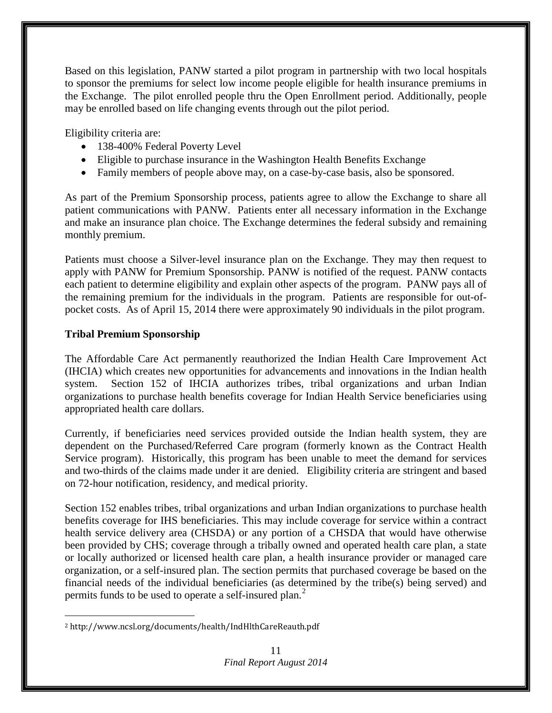Based on this legislation, PANW started a pilot program in partnership with two local hospitals to sponsor the premiums for select low income people eligible for health insurance premiums in the Exchange. The pilot enrolled people thru the Open Enrollment period. Additionally, people may be enrolled based on life changing events through out the pilot period.

Eligibility criteria are:

- 138-400% Federal Poverty Level
- Eligible to purchase insurance in the Washington Health Benefits Exchange
- Family members of people above may, on a case-by-case basis, also be sponsored.

As part of the Premium Sponsorship process, patients agree to allow the Exchange to share all patient communications with PANW. Patients enter all necessary information in the Exchange and make an insurance plan choice. The Exchange determines the federal subsidy and remaining monthly premium.

Patients must choose a Silver-level insurance plan on the Exchange. They may then request to apply with PANW for Premium Sponsorship. PANW is notified of the request. PANW contacts each patient to determine eligibility and explain other aspects of the program. PANW pays all of the remaining premium for the individuals in the program. Patients are responsible for out-ofpocket costs. As of April 15, 2014 there were approximately 90 individuals in the pilot program.

## **Tribal Premium Sponsorship**

 $\overline{a}$ 

The Affordable Care Act permanently reauthorized the Indian Health Care Improvement Act (IHCIA) which creates new opportunities for advancements and innovations in the Indian health system. Section 152 of IHCIA authorizes tribes, tribal organizations and urban Indian organizations to purchase health benefits coverage for Indian Health Service beneficiaries using appropriated health care dollars.

Currently, if beneficiaries need services provided outside the Indian health system, they are dependent on the Purchased/Referred Care program (formerly known as the Contract Health Service program). Historically, this program has been unable to meet the demand for services and two-thirds of the claims made under it are denied. Eligibility criteria are stringent and based on 72-hour notification, residency, and medical priority.

Section 152 enables tribes, tribal organizations and urban Indian organizations to purchase health benefits coverage for IHS beneficiaries. This may include coverage for service within a contract health service delivery area (CHSDA) or any portion of a CHSDA that would have otherwise been provided by CHS; coverage through a tribally owned and operated health care plan, a state or locally authorized or licensed health care plan, a health insurance provider or managed care organization, or a self-insured plan. The section permits that purchased coverage be based on the financial needs of the individual beneficiaries (as determined by the tribe(s) being served) and permits funds to be used to operate a self-insured plan.<sup>[2](#page-10-0)</sup>

<span id="page-10-0"></span><sup>2</sup> <http://www.ncsl.org/documents/health/IndHlthCareReauth.pdf>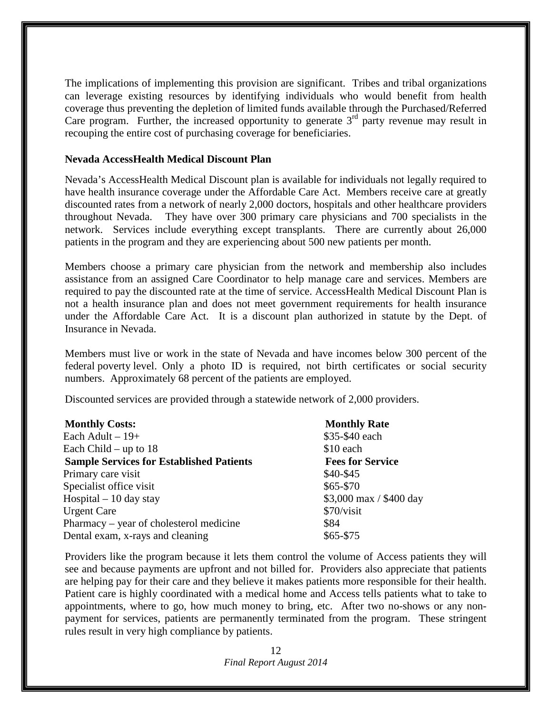The implications of implementing this provision are significant. Tribes and tribal organizations can leverage existing resources by identifying individuals who would benefit from health coverage thus preventing the depletion of limited funds available through the Purchased/Referred Care program. Further, the increased opportunity to generate  $3<sup>rd</sup>$  party revenue may result in recouping the entire cost of purchasing coverage for beneficiaries.

#### **Nevada AccessHealth Medical Discount Plan**

Nevada's AccessHealth Medical Discount plan is available for individuals not legally required to have health insurance coverage under the Affordable Care Act. Members receive care at greatly discounted rates from a network of nearly 2,000 doctors, hospitals and other healthcare providers throughout Nevada. They have over 300 primary care physicians and 700 specialists in the network. Services include everything except transplants. There are currently about 26,000 patients in the program and they are experiencing about 500 new patients per month.

Members choose a primary care physician from the network and membership also includes assistance from an assigned Care Coordinator to help manage care and services. Members are required to pay the discounted rate at the time of service. AccessHealth Medical Discount Plan is not a health insurance plan and does not meet government requirements for health insurance under the Affordable Care Act. It is a discount plan authorized in statute by the Dept. of Insurance in Nevada.

Members must live or work in the state of Nevada and have incomes below 300 percent of the federal poverty level. Only a photo ID is required, not birth certificates or social security numbers. Approximately 68 percent of the patients are employed.

Discounted services are provided through a statewide network of 2,000 providers.

| <b>Monthly Rate</b>     |
|-------------------------|
| \$35-\$40 each          |
| \$10 each               |
| <b>Fees for Service</b> |
| $$40-$45$               |
| $$65 - $70$             |
| \$3,000 max / \$400 day |
| \$70/visit              |
| \$84                    |
| \$65-\$75               |
|                         |

Providers like the program because it lets them control the volume of Access patients they will see and because payments are upfront and not billed for. Providers also appreciate that patients are helping pay for their care and they believe it makes patients more responsible for their health. Patient care is highly coordinated with a medical home and Access tells patients what to take to appointments, where to go, how much money to bring, etc. After two no-shows or any nonpayment for services, patients are permanently terminated from the program. These stringent rules result in very high compliance by patients.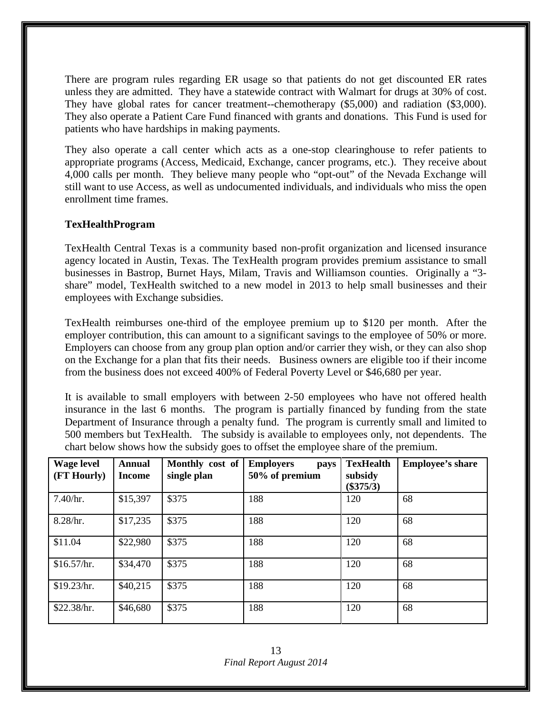There are program rules regarding ER usage so that patients do not get discounted ER rates unless they are admitted. They have a statewide contract with Walmart for drugs at 30% of cost. They have global rates for cancer treatment--chemotherapy (\$5,000) and radiation (\$3,000). They also operate a Patient Care Fund financed with grants and donations. This Fund is used for patients who have hardships in making payments.

They also operate a call center which acts as a one-stop clearinghouse to refer patients to appropriate programs (Access, Medicaid, Exchange, cancer programs, etc.). They receive about 4,000 calls per month. They believe many people who "opt-out" of the Nevada Exchange will still want to use Access, as well as undocumented individuals, and individuals who miss the open enrollment time frames.

## **TexHealthProgram**

TexHealth Central Texas is a community based non-profit organization and licensed insurance agency located in Austin, Texas. The TexHealth program provides premium assistance to small businesses in Bastrop, Burnet Hays, Milam, Travis and Williamson counties. Originally a "3 share" model, TexHealth switched to a new model in 2013 to help small businesses and their employees with Exchange subsidies.

TexHealth reimburses one-third of the employee premium up to \$120 per month. After the employer contribution, this can amount to a significant savings to the employee of 50% or more. Employers can choose from any group plan option and/or carrier they wish, or they can also shop on the Exchange for a plan that fits their needs. Business owners are eligible too if their income from the business does not exceed 400% of Federal Poverty Level or \$46,680 per year.

It is available to small employers with between 2-50 employees who have not offered health insurance in the last 6 months. The program is partially financed by funding from the state Department of Insurance through a penalty fund. The program is currently small and limited to 500 members but TexHealth. The subsidy is available to employees only, not dependents. The chart below shows how the subsidy goes to offset the employee share of the premium.

| <b>Wage level</b><br>(FT Hourly) | <b>Annual</b><br>Income | Monthly cost of<br>single plan | <b>Employers</b><br>pays<br>50% of premium | <b>TexHealth</b><br>subsidy<br>$(\$375/3)$ | <b>Employee's share</b> |
|----------------------------------|-------------------------|--------------------------------|--------------------------------------------|--------------------------------------------|-------------------------|
| 7.40/hr.                         | \$15,397                | \$375                          | 188                                        | 120                                        | 68                      |
| 8.28/hr.                         | \$17,235                | \$375                          | 188                                        | 120                                        | 68                      |
| \$11.04                          | \$22,980                | \$375                          | 188                                        | 120                                        | 68                      |
| \$16.57/hr.                      | \$34,470                | \$375                          | 188                                        | 120                                        | 68                      |
| \$19.23/hr.                      | \$40,215                | \$375                          | 188                                        | 120                                        | 68                      |
| \$22.38/hr.                      | \$46,680                | \$375                          | 188                                        | 120                                        | 68                      |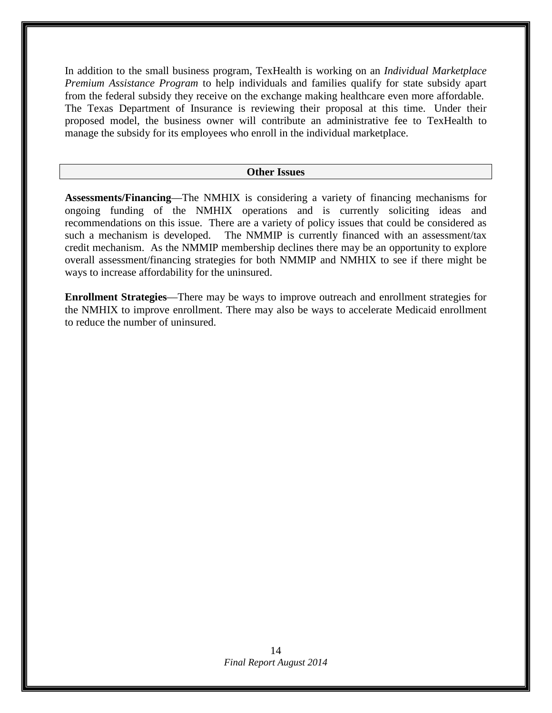In addition to the small business program, TexHealth is working on an *Individual Marketplace Premium Assistance Program* to help individuals and families qualify for state subsidy apart from the federal subsidy they receive on the exchange making healthcare even more affordable. The Texas Department of Insurance is reviewing their proposal at this time. Under their proposed model, the business owner will contribute an administrative fee to TexHealth to manage the subsidy for its employees who enroll in the individual marketplace.

#### **Other Issues**

**Assessments/Financing**—The NMHIX is considering a variety of financing mechanisms for ongoing funding of the NMHIX operations and is currently soliciting ideas and recommendations on this issue. There are a variety of policy issues that could be considered as such a mechanism is developed. The NMMIP is currently financed with an assessment/tax credit mechanism. As the NMMIP membership declines there may be an opportunity to explore overall assessment/financing strategies for both NMMIP and NMHIX to see if there might be ways to increase affordability for the uninsured.

**Enrollment Strategies**—There may be ways to improve outreach and enrollment strategies for the NMHIX to improve enrollment. There may also be ways to accelerate Medicaid enrollment to reduce the number of uninsured.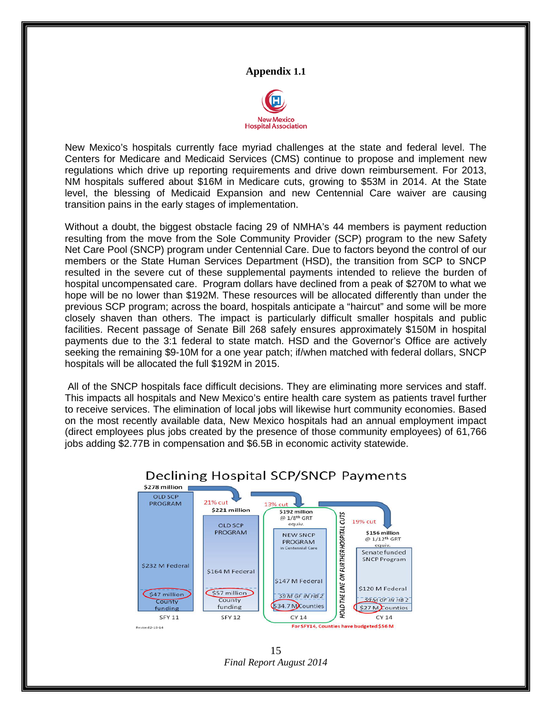

New Mexico's hospitals currently face myriad challenges at the state and federal level. The Centers for Medicare and Medicaid Services (CMS) continue to propose and implement new regulations which drive up reporting requirements and drive down reimbursement. For 2013, NM hospitals suffered about \$16M in Medicare cuts, growing to \$53M in 2014. At the State level, the blessing of Medicaid Expansion and new Centennial Care waiver are causing transition pains in the early stages of implementation.

Without a doubt, the biggest obstacle facing 29 of NMHA's 44 members is payment reduction resulting from the move from the Sole Community Provider (SCP) program to the new Safety Net Care Pool (SNCP) program under Centennial Care. Due to factors beyond the control of our members or the State Human Services Department (HSD), the transition from SCP to SNCP resulted in the severe cut of these supplemental payments intended to relieve the burden of hospital uncompensated care. Program dollars have declined from a peak of \$270M to what we hope will be no lower than \$192M. These resources will be allocated differently than under the previous SCP program; across the board, hospitals anticipate a "haircut" and some will be more closely shaven than others. The impact is particularly difficult smaller hospitals and public facilities. Recent passage of Senate Bill 268 safely ensures approximately \$150M in hospital payments due to the 3:1 federal to state match. HSD and the Governor's Office are actively seeking the remaining \$9-10M for a one year patch; if/when matched with federal dollars, SNCP hospitals will be allocated the full \$192M in 2015.

All of the SNCP hospitals face difficult decisions. They are eliminating more services and staff. This impacts all hospitals and New Mexico's entire health care system as patients travel further to receive services. The elimination of local jobs will likewise hurt community economies. Based on the most recently available data, New Mexico hospitals had an annual employment impact (direct employees plus jobs created by the presence of those community employees) of 61,766 jobs adding \$2.77B in compensation and \$6.5B in economic activity statewide.



## Declining Hospital SCP/SNCP Payments

*Final Report August 2014* 15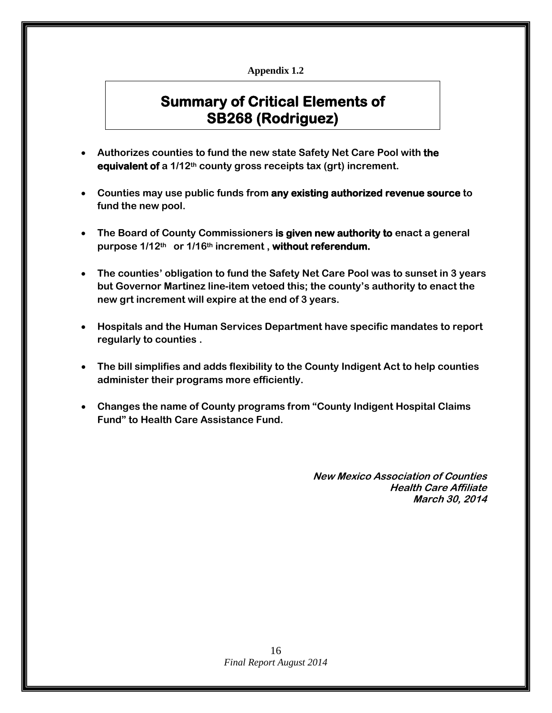# **Summary of Critical Elements of SB268 (Rodriguez)**

- **Authorizes counties to fund the new state Safety Net Care Pool with the equivalent of a 1/12th county gross receipts tax (grt) increment.**
- **Counties may use public funds from any existing authorized revenue source to fund the new pool.**
- **The Board of County Commissioners is given new authority to enact a general purpose 1/12th or 1/16th increment , without referendum.**
- **The counties' obligation to fund the Safety Net Care Pool was to sunset in 3 years but Governor Martinez line-item vetoed this; the county's authority to enact the new grt increment will expire at the end of 3 years.**
- **Hospitals and the Human Services Department have specific mandates to report regularly to counties .**
- **The bill simplifies and adds flexibility to the County Indigent Act to help counties administer their programs more efficiently.**
- **Changes the name of County programs from "County Indigent Hospital Claims Fund" to Health Care Assistance Fund.**

**New Mexico Association of Counties Health Care Affiliate March 30, 2014**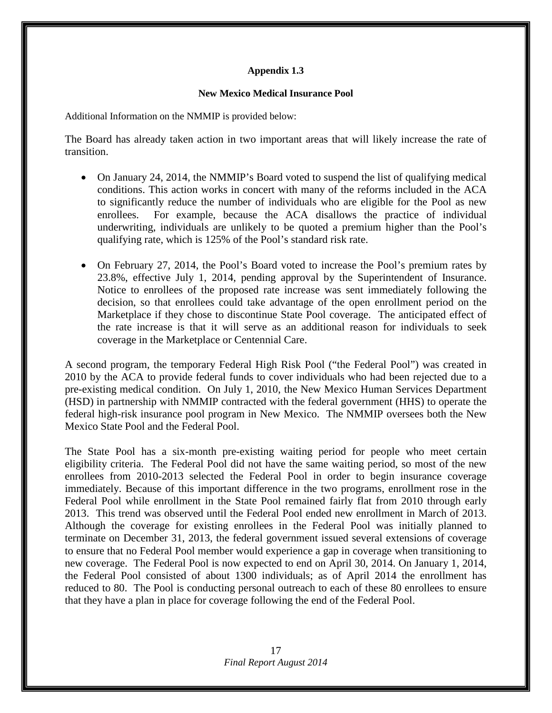#### **New Mexico Medical Insurance Pool**

Additional Information on the NMMIP is provided below:

The Board has already taken action in two important areas that will likely increase the rate of transition.

- On January 24, 2014, the NMMIP's Board voted to suspend the list of qualifying medical conditions. This action works in concert with many of the reforms included in the ACA to significantly reduce the number of individuals who are eligible for the Pool as new enrollees. For example, because the ACA disallows the practice of individual underwriting, individuals are unlikely to be quoted a premium higher than the Pool's qualifying rate, which is 125% of the Pool's standard risk rate.
- On February 27, 2014, the Pool's Board voted to increase the Pool's premium rates by 23.8%, effective July 1, 2014, pending approval by the Superintendent of Insurance. Notice to enrollees of the proposed rate increase was sent immediately following the decision, so that enrollees could take advantage of the open enrollment period on the Marketplace if they chose to discontinue State Pool coverage. The anticipated effect of the rate increase is that it will serve as an additional reason for individuals to seek coverage in the Marketplace or Centennial Care.

A second program, the temporary Federal High Risk Pool ("the Federal Pool") was created in 2010 by the ACA to provide federal funds to cover individuals who had been rejected due to a pre-existing medical condition. On July 1, 2010, the New Mexico Human Services Department (HSD) in partnership with NMMIP contracted with the federal government (HHS) to operate the federal high-risk insurance pool program in New Mexico. The NMMIP oversees both the New Mexico State Pool and the Federal Pool.

The State Pool has a six-month pre-existing waiting period for people who meet certain eligibility criteria. The Federal Pool did not have the same waiting period, so most of the new enrollees from 2010-2013 selected the Federal Pool in order to begin insurance coverage immediately. Because of this important difference in the two programs, enrollment rose in the Federal Pool while enrollment in the State Pool remained fairly flat from 2010 through early 2013. This trend was observed until the Federal Pool ended new enrollment in March of 2013. Although the coverage for existing enrollees in the Federal Pool was initially planned to terminate on December 31, 2013, the federal government issued several extensions of coverage to ensure that no Federal Pool member would experience a gap in coverage when transitioning to new coverage. The Federal Pool is now expected to end on April 30, 2014. On January 1, 2014, the Federal Pool consisted of about 1300 individuals; as of April 2014 the enrollment has reduced to 80. The Pool is conducting personal outreach to each of these 80 enrollees to ensure that they have a plan in place for coverage following the end of the Federal Pool.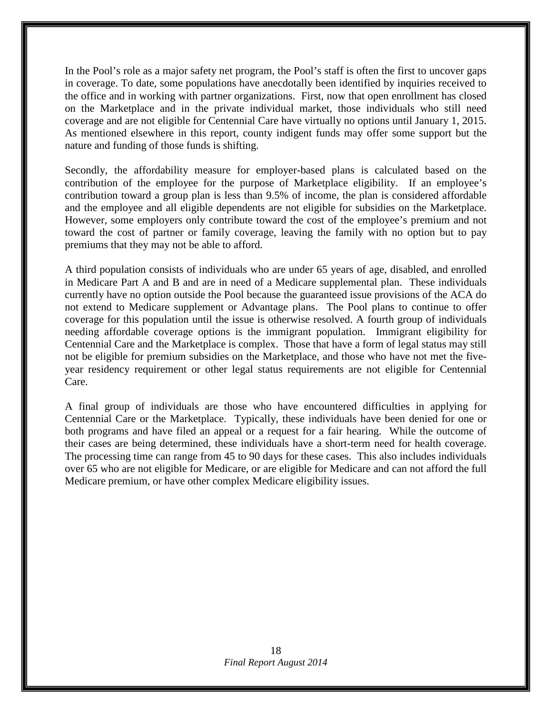In the Pool's role as a major safety net program, the Pool's staff is often the first to uncover gaps in coverage. To date, some populations have anecdotally been identified by inquiries received to the office and in working with partner organizations. First, now that open enrollment has closed on the Marketplace and in the private individual market, those individuals who still need coverage and are not eligible for Centennial Care have virtually no options until January 1, 2015. As mentioned elsewhere in this report, county indigent funds may offer some support but the nature and funding of those funds is shifting.

Secondly, the affordability measure for employer-based plans is calculated based on the contribution of the employee for the purpose of Marketplace eligibility. If an employee's contribution toward a group plan is less than 9.5% of income, the plan is considered affordable and the employee and all eligible dependents are not eligible for subsidies on the Marketplace. However, some employers only contribute toward the cost of the employee's premium and not toward the cost of partner or family coverage, leaving the family with no option but to pay premiums that they may not be able to afford.

A third population consists of individuals who are under 65 years of age, disabled, and enrolled in Medicare Part A and B and are in need of a Medicare supplemental plan. These individuals currently have no option outside the Pool because the guaranteed issue provisions of the ACA do not extend to Medicare supplement or Advantage plans. The Pool plans to continue to offer coverage for this population until the issue is otherwise resolved. A fourth group of individuals needing affordable coverage options is the immigrant population. Immigrant eligibility for Centennial Care and the Marketplace is complex. Those that have a form of legal status may still not be eligible for premium subsidies on the Marketplace, and those who have not met the fiveyear residency requirement or other legal status requirements are not eligible for Centennial Care.

A final group of individuals are those who have encountered difficulties in applying for Centennial Care or the Marketplace. Typically, these individuals have been denied for one or both programs and have filed an appeal or a request for a fair hearing. While the outcome of their cases are being determined, these individuals have a short-term need for health coverage. The processing time can range from 45 to 90 days for these cases. This also includes individuals over 65 who are not eligible for Medicare, or are eligible for Medicare and can not afford the full Medicare premium, or have other complex Medicare eligibility issues.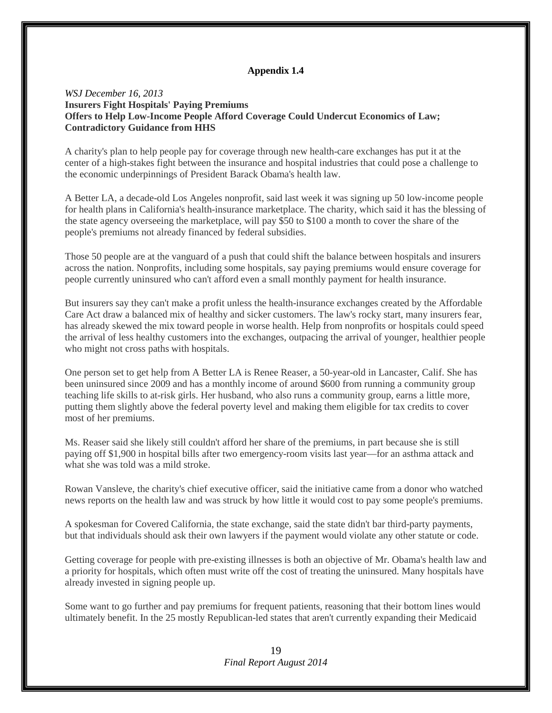#### *WSJ December 16, 2013* **Insurers Fight Hospitals' Paying Premiums Offers to Help Low-Income People Afford Coverage Could Undercut Economics of Law; Contradictory Guidance from HHS**

A charity's plan to help people pay for coverage through new health-care exchanges has put it at the center of a high-stakes fight between the insurance and hospital industries that could pose a challenge to the economic underpinnings of President Barack Obama's health law.

A Better LA, a decade-old Los Angeles nonprofit, said last week it was signing up 50 low-income people for health plans in California's health-insurance marketplace. The charity, which said it has the blessing of the state agency overseeing the marketplace, will pay \$50 to \$100 a month to cover the share of the people's premiums not already financed by federal subsidies.

Those 50 people are at the vanguard of a push that could shift the balance between hospitals and insurers across the nation. Nonprofits, including some hospitals, say paying premiums would ensure coverage for people currently uninsured who can't afford even a small monthly payment for health insurance.

But insurers say they can't make a profit unless the health-insurance exchanges created by the Affordable Care Act draw a balanced mix of healthy and sicker customers. The law's rocky start, many insurers fear, has already skewed the mix toward people in worse health. Help from nonprofits or hospitals could speed the arrival of less healthy customers into the exchanges, outpacing the arrival of younger, healthier people who might not cross paths with hospitals.

One person set to get help from A Better LA is Renee Reaser, a 50-year-old in Lancaster, Calif. She has been uninsured since 2009 and has a monthly income of around \$600 from running a community group teaching life skills to at-risk girls. Her husband, who also runs a community group, earns a little more, putting them slightly above the federal poverty level and making them eligible for tax credits to cover most of her premiums.

Ms. Reaser said she likely still couldn't afford her share of the premiums, in part because she is still paying off \$1,900 in hospital bills after two emergency-room visits last year—for an asthma attack and what she was told was a mild stroke.

Rowan Vansleve, the charity's chief executive officer, said the initiative came from a donor who watched news reports on the health law and was struck by how little it would cost to pay some people's premiums.

A spokesman for Covered California, the state exchange, said the state didn't bar third-party payments, but that individuals should ask their own lawyers if the payment would violate any other statute or code.

Getting coverage for people with pre-existing illnesses is both an objective of Mr. Obama's health law and a priority for hospitals, which often must write off the cost of treating the uninsured. Many hospitals have already invested in signing people up.

Some want to go further and pay premiums for frequent patients, reasoning that their bottom lines would ultimately benefit. In the 25 mostly Republican-led states that aren't currently expanding their Medicaid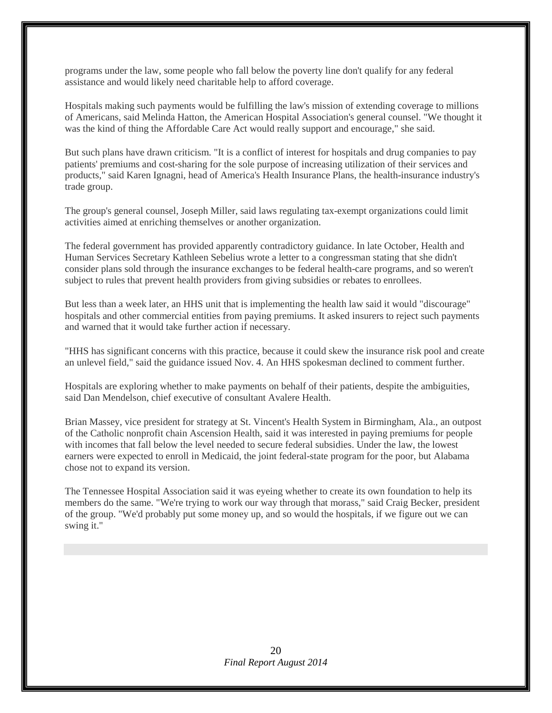programs under the law, some people who fall below the poverty line don't qualify for any federal assistance and would likely need charitable help to afford coverage.

Hospitals making such payments would be fulfilling the law's mission of extending coverage to millions of Americans, said Melinda Hatton, the American Hospital Association's general counsel. "We thought it was the kind of thing the Affordable Care Act would really support and encourage," she said.

But such plans have drawn criticism. "It is a conflict of interest for hospitals and drug companies to pay patients' premiums and cost-sharing for the sole purpose of increasing utilization of their services and products," said Karen Ignagni, head of America's Health Insurance Plans, the health-insurance industry's trade group.

The group's general counsel, Joseph Miller, said laws regulating tax-exempt organizations could limit activities aimed at enriching themselves or another organization.

The federal government has provided apparently contradictory guidance. In late October, Health and Human Services Secretary Kathleen Sebelius wrote a letter to a congressman stating that she didn't consider plans sold through the insurance exchanges to be federal health-care programs, and so weren't subject to rules that prevent health providers from giving subsidies or rebates to enrollees.

But less than a week later, an HHS unit that is implementing the health law said it would "discourage" hospitals and other commercial entities from paying premiums. It asked insurers to reject such payments and warned that it would take further action if necessary.

"HHS has significant concerns with this practice, because it could skew the insurance risk pool and create an unlevel field," said the guidance issued Nov. 4. An HHS spokesman declined to comment further.

Hospitals are exploring whether to make payments on behalf of their patients, despite the ambiguities, said Dan Mendelson, chief executive of consultant Avalere Health.

Brian Massey, vice president for strategy at St. Vincent's Health System in Birmingham, Ala., an outpost of the Catholic nonprofit chain Ascension Health, said it was interested in paying premiums for people with incomes that fall below the level needed to secure federal subsidies. Under the law, the lowest earners were expected to enroll in Medicaid, the joint federal-state program for the poor, but Alabama chose not to expand its version.

The Tennessee Hospital Association said it was eyeing whether to create its own foundation to help its members do the same. "We're trying to work our way through that morass," said Craig Becker, president of the group. "We'd probably put some money up, and so would the hospitals, if we figure out we can swing it."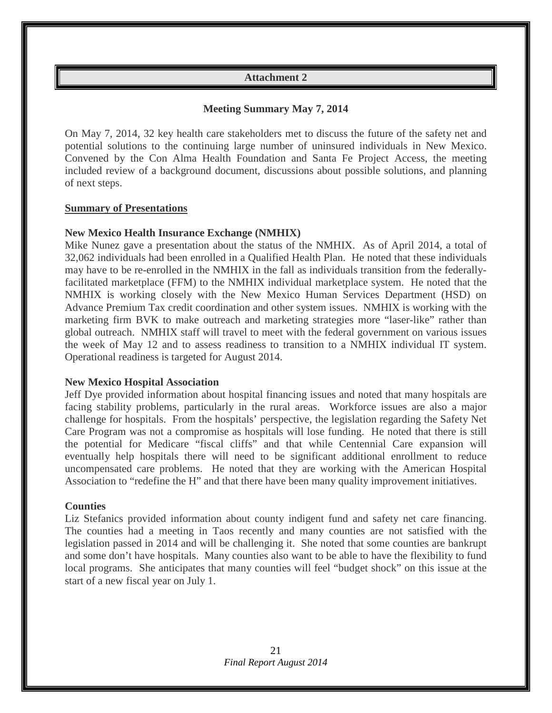## **Attachment 2**

## **Meeting Summary May 7, 2014**

On May 7, 2014, 32 key health care stakeholders met to discuss the future of the safety net and potential solutions to the continuing large number of uninsured individuals in New Mexico. Convened by the Con Alma Health Foundation and Santa Fe Project Access, the meeting included review of a background document, discussions about possible solutions, and planning of next steps.

#### **Summary of Presentations**

#### **New Mexico Health Insurance Exchange (NMHIX)**

Mike Nunez gave a presentation about the status of the NMHIX. As of April 2014, a total of 32,062 individuals had been enrolled in a Qualified Health Plan. He noted that these individuals may have to be re-enrolled in the NMHIX in the fall as individuals transition from the federallyfacilitated marketplace (FFM) to the NMHIX individual marketplace system. He noted that the NMHIX is working closely with the New Mexico Human Services Department (HSD) on Advance Premium Tax credit coordination and other system issues. NMHIX is working with the marketing firm BVK to make outreach and marketing strategies more "laser-like" rather than global outreach. NMHIX staff will travel to meet with the federal government on various issues the week of May 12 and to assess readiness to transition to a NMHIX individual IT system. Operational readiness is targeted for August 2014.

#### **New Mexico Hospital Association**

Jeff Dye provided information about hospital financing issues and noted that many hospitals are facing stability problems, particularly in the rural areas. Workforce issues are also a major challenge for hospitals. From the hospitals' perspective, the legislation regarding the Safety Net Care Program was not a compromise as hospitals will lose funding. He noted that there is still the potential for Medicare "fiscal cliffs" and that while Centennial Care expansion will eventually help hospitals there will need to be significant additional enrollment to reduce uncompensated care problems. He noted that they are working with the American Hospital Association to "redefine the H" and that there have been many quality improvement initiatives.

#### **Counties**

Liz Stefanics provided information about county indigent fund and safety net care financing. The counties had a meeting in Taos recently and many counties are not satisfied with the legislation passed in 2014 and will be challenging it. She noted that some counties are bankrupt and some don't have hospitals. Many counties also want to be able to have the flexibility to fund local programs. She anticipates that many counties will feel "budget shock" on this issue at the start of a new fiscal year on July 1.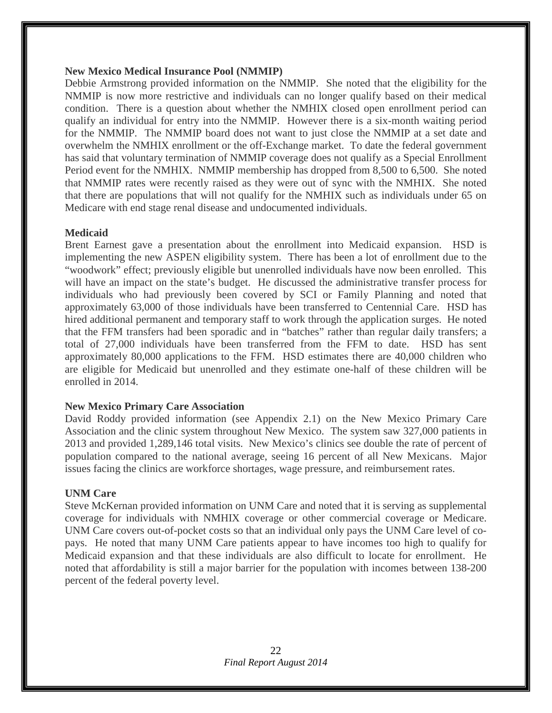#### **New Mexico Medical Insurance Pool (NMMIP)**

Debbie Armstrong provided information on the NMMIP. She noted that the eligibility for the NMMIP is now more restrictive and individuals can no longer qualify based on their medical condition. There is a question about whether the NMHIX closed open enrollment period can qualify an individual for entry into the NMMIP. However there is a six-month waiting period for the NMMIP. The NMMIP board does not want to just close the NMMIP at a set date and overwhelm the NMHIX enrollment or the off-Exchange market. To date the federal government has said that voluntary termination of NMMIP coverage does not qualify as a Special Enrollment Period event for the NMHIX. NMMIP membership has dropped from 8,500 to 6,500. She noted that NMMIP rates were recently raised as they were out of sync with the NMHIX. She noted that there are populations that will not qualify for the NMHIX such as individuals under 65 on Medicare with end stage renal disease and undocumented individuals.

## **Medicaid**

Brent Earnest gave a presentation about the enrollment into Medicaid expansion. HSD is implementing the new ASPEN eligibility system. There has been a lot of enrollment due to the "woodwork" effect; previously eligible but unenrolled individuals have now been enrolled. This will have an impact on the state's budget. He discussed the administrative transfer process for individuals who had previously been covered by SCI or Family Planning and noted that approximately 63,000 of those individuals have been transferred to Centennial Care. HSD has hired additional permanent and temporary staff to work through the application surges. He noted that the FFM transfers had been sporadic and in "batches" rather than regular daily transfers; a total of 27,000 individuals have been transferred from the FFM to date. HSD has sent approximately 80,000 applications to the FFM. HSD estimates there are 40,000 children who are eligible for Medicaid but unenrolled and they estimate one-half of these children will be enrolled in 2014.

## **New Mexico Primary Care Association**

David Roddy provided information (see Appendix 2.1) on the New Mexico Primary Care Association and the clinic system throughout New Mexico. The system saw 327,000 patients in 2013 and provided 1,289,146 total visits. New Mexico's clinics see double the rate of percent of population compared to the national average, seeing 16 percent of all New Mexicans. Major issues facing the clinics are workforce shortages, wage pressure, and reimbursement rates.

## **UNM Care**

Steve McKernan provided information on UNM Care and noted that it is serving as supplemental coverage for individuals with NMHIX coverage or other commercial coverage or Medicare. UNM Care covers out-of-pocket costs so that an individual only pays the UNM Care level of copays. He noted that many UNM Care patients appear to have incomes too high to qualify for Medicaid expansion and that these individuals are also difficult to locate for enrollment. He noted that affordability is still a major barrier for the population with incomes between 138-200 percent of the federal poverty level.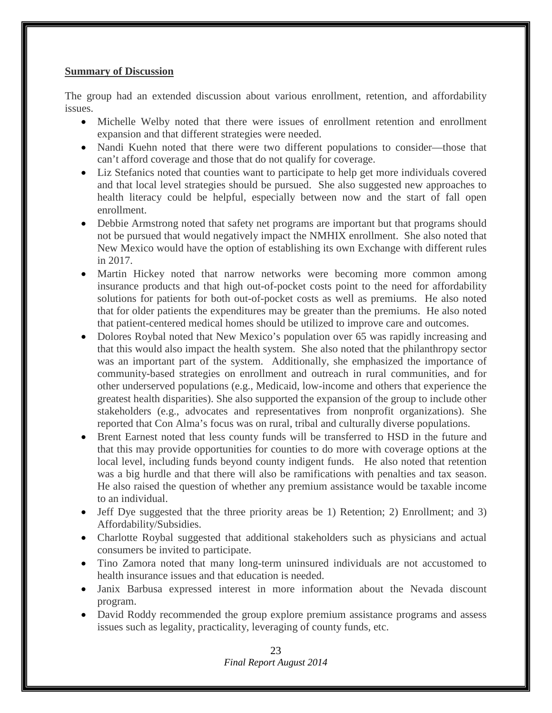#### **Summary of Discussion**

The group had an extended discussion about various enrollment, retention, and affordability issues.

- Michelle Welby noted that there were issues of enrollment retention and enrollment expansion and that different strategies were needed.
- Nandi Kuehn noted that there were two different populations to consider—those that can't afford coverage and those that do not qualify for coverage.
- Liz Stefanics noted that counties want to participate to help get more individuals covered and that local level strategies should be pursued. She also suggested new approaches to health literacy could be helpful, especially between now and the start of fall open enrollment.
- Debbie Armstrong noted that safety net programs are important but that programs should not be pursued that would negatively impact the NMHIX enrollment. She also noted that New Mexico would have the option of establishing its own Exchange with different rules in 2017.
- Martin Hickey noted that narrow networks were becoming more common among insurance products and that high out-of-pocket costs point to the need for affordability solutions for patients for both out-of-pocket costs as well as premiums. He also noted that for older patients the expenditures may be greater than the premiums. He also noted that patient-centered medical homes should be utilized to improve care and outcomes.
- Dolores Roybal noted that New Mexico's population over 65 was rapidly increasing and that this would also impact the health system. She also noted that the philanthropy sector was an important part of the system. Additionally, she emphasized the importance of community-based strategies on enrollment and outreach in rural communities, and for other underserved populations (e.g., Medicaid, low-income and others that experience the greatest health disparities). She also supported the expansion of the group to include other stakeholders (e.g., advocates and representatives from nonprofit organizations). She reported that Con Alma's focus was on rural, tribal and culturally diverse populations.
- Brent Earnest noted that less county funds will be transferred to HSD in the future and that this may provide opportunities for counties to do more with coverage options at the local level, including funds beyond county indigent funds. He also noted that retention was a big hurdle and that there will also be ramifications with penalties and tax season. He also raised the question of whether any premium assistance would be taxable income to an individual.
- Jeff Dye suggested that the three priority areas be 1) Retention; 2) Enrollment; and 3) Affordability/Subsidies.
- Charlotte Roybal suggested that additional stakeholders such as physicians and actual consumers be invited to participate.
- Tino Zamora noted that many long-term uninsured individuals are not accustomed to health insurance issues and that education is needed.
- Janix Barbusa expressed interest in more information about the Nevada discount program.
- David Roddy recommended the group explore premium assistance programs and assess issues such as legality, practicality, leveraging of county funds, etc.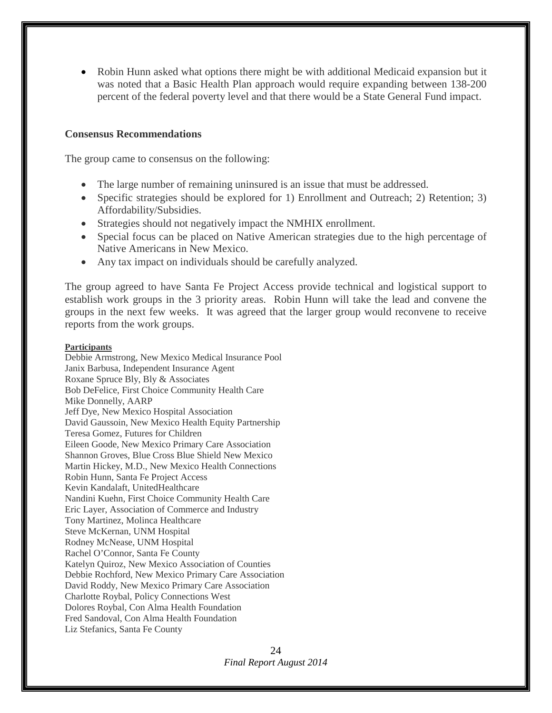• Robin Hunn asked what options there might be with additional Medicaid expansion but it was noted that a Basic Health Plan approach would require expanding between 138-200 percent of the federal poverty level and that there would be a State General Fund impact.

#### **Consensus Recommendations**

The group came to consensus on the following:

- The large number of remaining uninsured is an issue that must be addressed.
- Specific strategies should be explored for 1) Enrollment and Outreach; 2) Retention; 3) Affordability/Subsidies.
- Strategies should not negatively impact the NMHIX enrollment.
- Special focus can be placed on Native American strategies due to the high percentage of Native Americans in New Mexico.
- Any tax impact on individuals should be carefully analyzed.

The group agreed to have Santa Fe Project Access provide technical and logistical support to establish work groups in the 3 priority areas. Robin Hunn will take the lead and convene the groups in the next few weeks. It was agreed that the larger group would reconvene to receive reports from the work groups.

#### **Participants**

Debbie Armstrong, New Mexico Medical Insurance Pool Janix Barbusa, Independent Insurance Agent Roxane Spruce Bly, Bly & Associates Bob DeFelice, First Choice Community Health Care Mike Donnelly, AARP Jeff Dye, New Mexico Hospital Association David Gaussoin, New Mexico Health Equity Partnership Teresa Gomez, Futures for Children Eileen Goode, New Mexico Primary Care Association Shannon Groves, Blue Cross Blue Shield New Mexico Martin Hickey, M.D., New Mexico Health Connections Robin Hunn, Santa Fe Project Access Kevin Kandalaft, UnitedHealthcare Nandini Kuehn, First Choice Community Health Care Eric Layer, Association of Commerce and Industry Tony Martinez, Molinca Healthcare Steve McKernan, UNM Hospital Rodney McNease, UNM Hospital Rachel O'Connor, Santa Fe County Katelyn Quiroz, New Mexico Association of Counties Debbie Rochford, New Mexico Primary Care Association David Roddy, New Mexico Primary Care Association Charlotte Roybal, Policy Connections West Dolores Roybal, Con Alma Health Foundation Fred Sandoval, Con Alma Health Foundation Liz Stefanics, Santa Fe County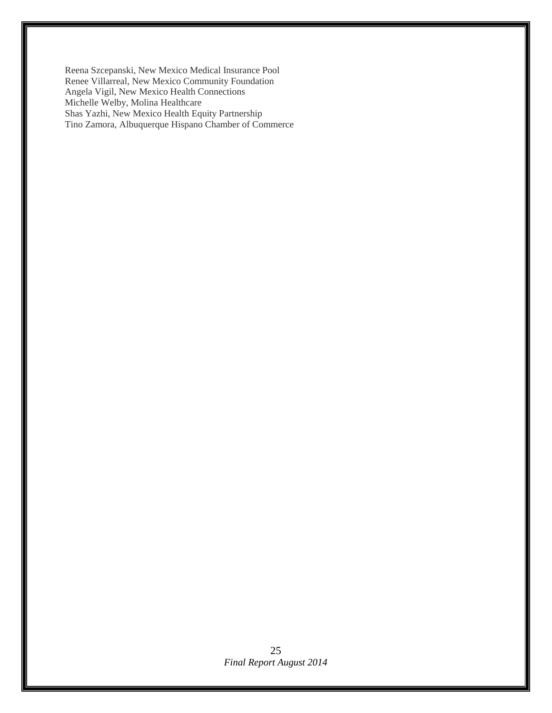Reena Szcepanski, New Mexico Medical Insurance Pool Renee Villarreal, New Mexico Community Foundation Angela Vigil, New Mexico Health Connections Michelle Welby, Molina Healthcare Shas Yazhi, New Mexico Health Equity Partnership Tino Zamora, Albuquerque Hispano Chamber of Commerce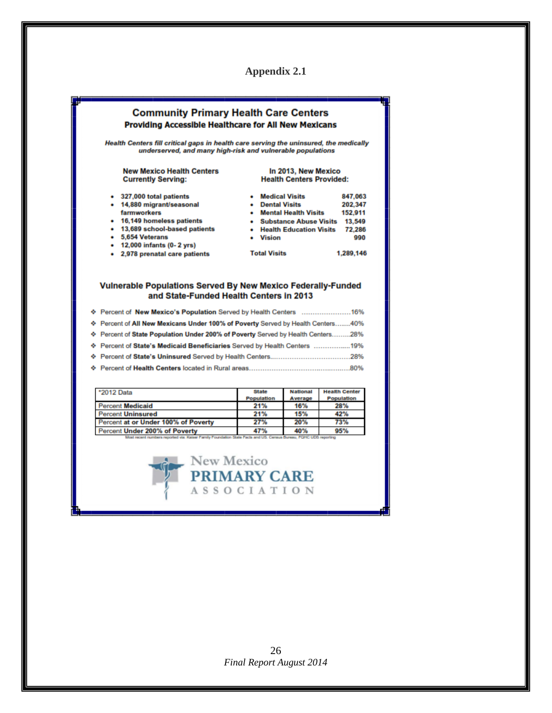

| ♦ Percent of State Population Under 200% of Poverty Served by Health Centers28% |
|---------------------------------------------------------------------------------|
| ♦ Percent of State's Medicaid Beneficiaries Served by Health Centers 19%        |
| .28%                                                                            |
| ♦ Percent of Health Centers located in Rural areas<br>.80%                      |

| *2012 Data                          | State<br>Population | <b>National</b><br>Average | <b>Health Center</b><br>Population |
|-------------------------------------|---------------------|----------------------------|------------------------------------|
| <b>Percent Medicaid</b>             | 21%                 | 16%                        | 28%                                |
| <b>Percent Uninsured</b>            | 21%                 | 15%                        | 42%                                |
| Percent at or Under 100% of Poverty | 27%                 | 20%                        | 73%                                |
| Percent Under 200% of Poverty       | 47%                 | 40%                        | 95%                                |

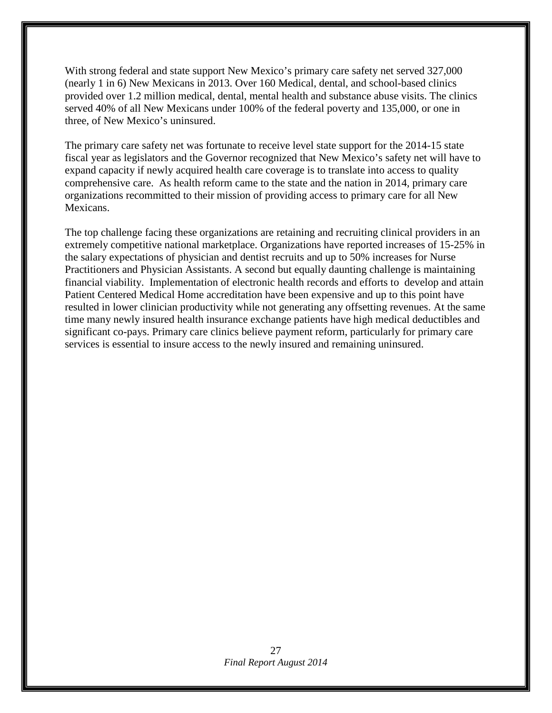With strong federal and state support New Mexico's primary care safety net served 327,000 (nearly 1 in 6) New Mexicans in 2013. Over 160 Medical, dental, and school-based clinics provided over 1.2 million medical, dental, mental health and substance abuse visits. The clinics served 40% of all New Mexicans under 100% of the federal poverty and 135,000, or one in three, of New Mexico's uninsured.

The primary care safety net was fortunate to receive level state support for the 2014-15 state fiscal year as legislators and the Governor recognized that New Mexico's safety net will have to expand capacity if newly acquired health care coverage is to translate into access to quality comprehensive care. As health reform came to the state and the nation in 2014, primary care organizations recommitted to their mission of providing access to primary care for all New Mexicans.

The top challenge facing these organizations are retaining and recruiting clinical providers in an extremely competitive national marketplace. Organizations have reported increases of 15-25% in the salary expectations of physician and dentist recruits and up to 50% increases for Nurse Practitioners and Physician Assistants. A second but equally daunting challenge is maintaining financial viability. Implementation of electronic health records and efforts to develop and attain Patient Centered Medical Home accreditation have been expensive and up to this point have resulted in lower clinician productivity while not generating any offsetting revenues. At the same time many newly insured health insurance exchange patients have high medical deductibles and significant co-pays. Primary care clinics believe payment reform, particularly for primary care services is essential to insure access to the newly insured and remaining uninsured.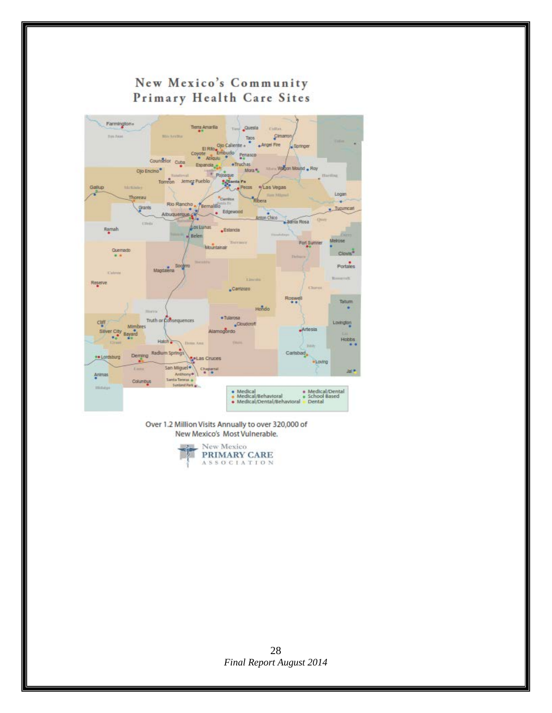

Over 1.2 Million Visits Annually to over 320,000 of New Mexico's Most Vulnerable.



*Final Report August 2014* 28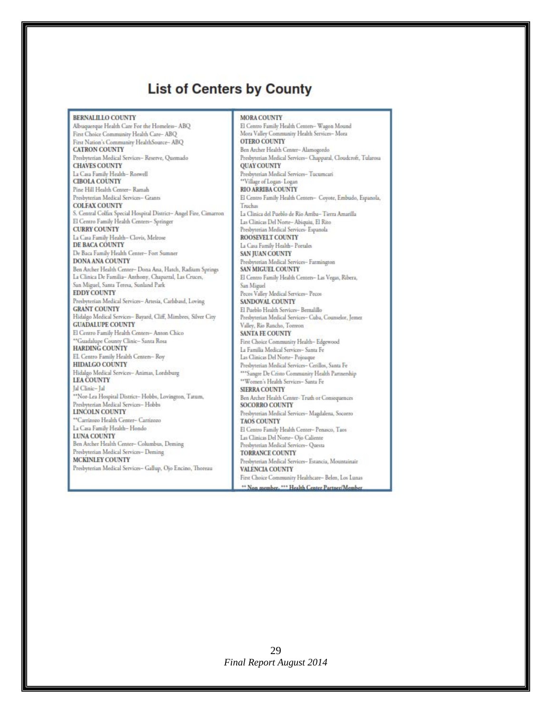# **List of Centers by County**

**BERNALILLO COUNTY** 

Albuquerque Health Care For the Homeless-ABQ First Choice Community Health Care-ABQ First Nation's Community HealthSource-ABQ **CATRON COUNTY** Presbyterian Medical Services-Reserve, Quemado **CHAVES COUNTY** La Casa Family Health-Roswell **CIBOLA COUNTY** Pine Hill Health Center- Ramah Presbyterian Medical Services- Grants **COLFAX COUNTY** S. Central Colfax Special Hospital District-Angel Fire, Cimarron El Centro Family Health Centers- Springer **CURRY COUNTY** La Casa Family Health- Clovis, Melrose DE BACA COUNTY De Baca Family Health Center- Fort Sumner **DONA ANA COUNTY** Ben Archer Health Center- Dona Ana, Hatch, Radium Springs La Clinica De Familia- Anthony, Chaparral, Las Cruces, San Miguel, Santa Teresa, Sunland Park **EDDY COUNTY** Presbyterian Medical Services- Artesia, Carlsbasd, Loving **GRANT COUNTY** Hidalgo Medical Services- Bayard, Cliff, Mimbres, Silver City **GUADALUPE COUNTY** El Centro Family Health Centers- Anton Chico \*\*Guadalupe County Clinic- Santa Rosa HARDING COUNTY EL Centro Family Health Centers- Roy **HIDALGO COUNTY** Hidalgo Medical Services-Animas, Lordsburg **LEA COUNTY** Jal Clinic-Jal \*\*Nor-Lea Hospital District-Hobbs, Lovington, Tatum, Presbyterian Medical Services-Hobbs LINCOLN COUNTY "Carrizozo Health Center- Carrizozo La Casa Family Health-Hondo LUNA COUNTY Ben Archer Health Center- Columbus, Deming Presbyterian Medical Services- Deming MCKINLEY COUNTY Presbyterian Medical Services-Gallup, Ojo Encino, Thoreau

**MORA COUNTY** El Centro Family Health Centers- Wagon Mound Mora Valley Community Health Services- Mora **OTERO COUNTY** Ben Archer Health Center- Alamogordo Presbyterian Medical Services- Chapparal, Cloudcroft, Tularosa **QUAY COUNTY** Presbyterian Medical Services-Tucumcari "Village of Logan- Logan **RIO ARRIBA COUNTY** El Centro Family Health Centers- Coyote, Embudo, Espanola, Truchas La Clinica del Pueblo de Rio Arriba-Tierra Amarilla Las Clinicas Del Norte-Abiquiu, El Rito Presbyterian Medical Services- Espanola ROOSEVELT COUNTY La Casa Family Health- Portales SAN JUAN COUNTY Presbyterian Medical Services- Farmington SAN MIGUEL COUNTY El Centro Family Health Centers- Las Vegas, Ribera, San Miguel Pecos Valley Medical Services- Pecos SANDOVAL COUNTY El Pueblo Health Services- Bernalillo Presbyterian Medical Services- Cuba, Counselor, Jemez Valley, Rio Rancho, Torreon SANTA FE COUNTY First Choice Community Health-Edgewood La Familia Medical Services- Santa Fe Las Clinicas Del Norte- Pojoaque Presbyterian Medical Services- Cerillos, Santa Fe \*\*\* Sangre De Cristo Community Health Partnership \*\* Women's Health Services- Santa Fe SIERRA COUNTY Ben Archer Health Center-Truth or Consequences **SOCORRO COUNTY** Presbyterian Medical Services-Magdalena, Socorro **TAOS COUNTY** El Centro Family Health Center- Penasco, Taos Las Clinicas Del Norte- Ojo Caliente Presbyterian Medical Services-Questa TORRANCE COUNTY Presbyterian Medical Services- Estancia, Mountainair **VALENCIA COUNTY** First Choice Community Healthcare-Belen, Los Lunas \*\* Non member, \*\*\* Health Center Partner/Member

*Final Report August 2014* 29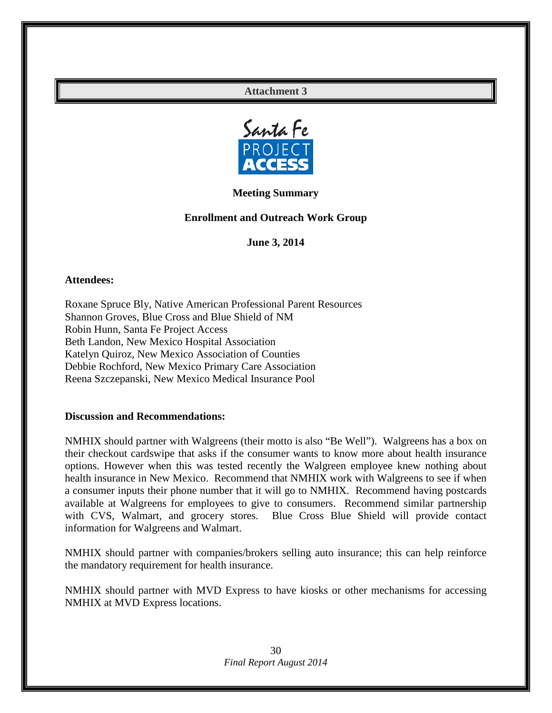## **Attachment 3**



**Meeting Summary**

## **Enrollment and Outreach Work Group**

**June 3, 2014**

#### **Attendees:**

Roxane Spruce Bly, Native American Professional Parent Resources Shannon Groves, Blue Cross and Blue Shield of NM Robin Hunn, Santa Fe Project Access Beth Landon, New Mexico Hospital Association Katelyn Quiroz, New Mexico Association of Counties Debbie Rochford, New Mexico Primary Care Association Reena Szczepanski, New Mexico Medical Insurance Pool

#### **Discussion and Recommendations:**

NMHIX should partner with Walgreens (their motto is also "Be Well"). Walgreens has a box on their checkout cardswipe that asks if the consumer wants to know more about health insurance options. However when this was tested recently the Walgreen employee knew nothing about health insurance in New Mexico. Recommend that NMHIX work with Walgreens to see if when a consumer inputs their phone number that it will go to NMHIX. Recommend having postcards available at Walgreens for employees to give to consumers. Recommend similar partnership with CVS, Walmart, and grocery stores. Blue Cross Blue Shield will provide contact information for Walgreens and Walmart.

NMHIX should partner with companies/brokers selling auto insurance; this can help reinforce the mandatory requirement for health insurance.

NMHIX should partner with MVD Express to have kiosks or other mechanisms for accessing NMHIX at MVD Express locations.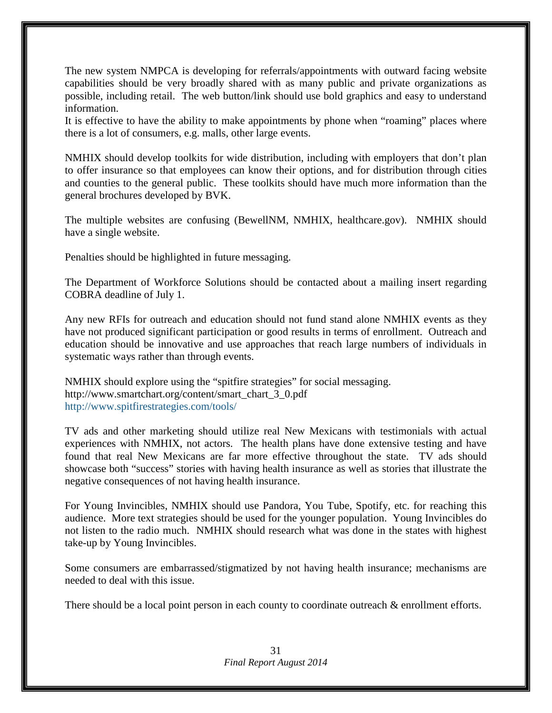The new system NMPCA is developing for referrals/appointments with outward facing website capabilities should be very broadly shared with as many public and private organizations as possible, including retail. The web button/link should use bold graphics and easy to understand information.

It is effective to have the ability to make appointments by phone when "roaming" places where there is a lot of consumers, e.g. malls, other large events.

NMHIX should develop toolkits for wide distribution, including with employers that don't plan to offer insurance so that employees can know their options, and for distribution through cities and counties to the general public. These toolkits should have much more information than the general brochures developed by BVK.

The multiple websites are confusing (BewellNM, NMHIX, healthcare.gov). NMHIX should have a single website.

Penalties should be highlighted in future messaging.

The Department of Workforce Solutions should be contacted about a mailing insert regarding COBRA deadline of July 1.

Any new RFIs for outreach and education should not fund stand alone NMHIX events as they have not produced significant participation or good results in terms of enrollment. Outreach and education should be innovative and use approaches that reach large numbers of individuals in systematic ways rather than through events.

NMHIX should explore using the "spitfire strategies" for social messaging. [http://www.smartchart.org/content/smart\\_chart\\_3\\_0.pdf](http://www.smartchart.org/content/smart_chart_3_0.pdf) <http://www.spitfirestrategies.com/tools/>

TV ads and other marketing should utilize real New Mexicans with testimonials with actual experiences with NMHIX, not actors. The health plans have done extensive testing and have found that real New Mexicans are far more effective throughout the state. TV ads should showcase both "success" stories with having health insurance as well as stories that illustrate the negative consequences of not having health insurance.

For Young Invincibles, NMHIX should use Pandora, You Tube, Spotify, etc. for reaching this audience. More text strategies should be used for the younger population. Young Invincibles do not listen to the radio much. NMHIX should research what was done in the states with highest take-up by Young Invincibles.

Some consumers are embarrassed/stigmatized by not having health insurance; mechanisms are needed to deal with this issue.

There should be a local point person in each county to coordinate outreach & enrollment efforts.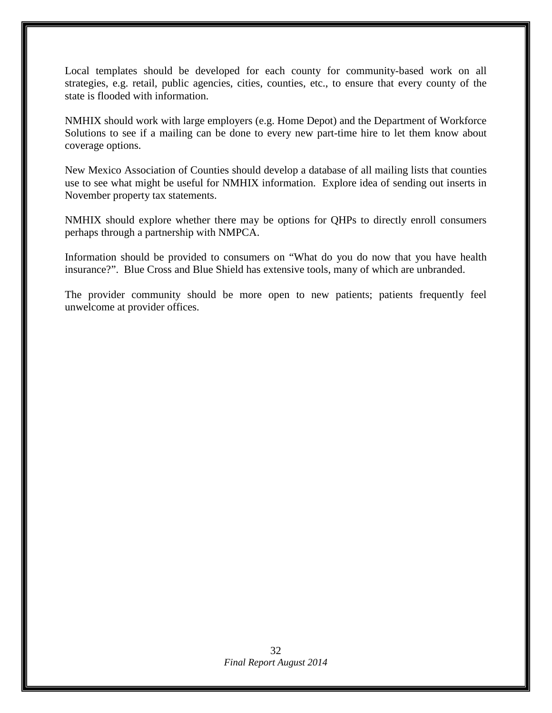Local templates should be developed for each county for community-based work on all strategies, e.g. retail, public agencies, cities, counties, etc., to ensure that every county of the state is flooded with information.

NMHIX should work with large employers (e.g. Home Depot) and the Department of Workforce Solutions to see if a mailing can be done to every new part-time hire to let them know about coverage options.

New Mexico Association of Counties should develop a database of all mailing lists that counties use to see what might be useful for NMHIX information. Explore idea of sending out inserts in November property tax statements.

NMHIX should explore whether there may be options for QHPs to directly enroll consumers perhaps through a partnership with NMPCA.

Information should be provided to consumers on "What do you do now that you have health insurance?". Blue Cross and Blue Shield has extensive tools, many of which are unbranded.

The provider community should be more open to new patients; patients frequently feel unwelcome at provider offices.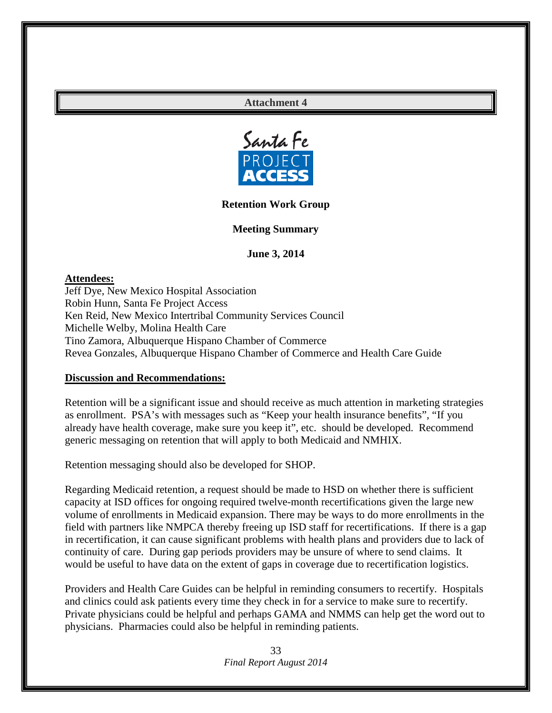## **Attachment 4**



#### **Retention Work Group**

**Meeting Summary**

#### **June 3, 2014**

**Attendees:**

Jeff Dye, New Mexico Hospital Association Robin Hunn, Santa Fe Project Access Ken Reid, New Mexico Intertribal Community Services Council Michelle Welby, Molina Health Care Tino Zamora, Albuquerque Hispano Chamber of Commerce Revea Gonzales, Albuquerque Hispano Chamber of Commerce and Health Care Guide

#### **Discussion and Recommendations:**

Retention will be a significant issue and should receive as much attention in marketing strategies as enrollment. PSA's with messages such as "Keep your health insurance benefits", "If you already have health coverage, make sure you keep it", etc. should be developed. Recommend generic messaging on retention that will apply to both Medicaid and NMHIX.

Retention messaging should also be developed for SHOP.

Regarding Medicaid retention, a request should be made to HSD on whether there is sufficient capacity at ISD offices for ongoing required twelve-month recertifications given the large new volume of enrollments in Medicaid expansion. There may be ways to do more enrollments in the field with partners like NMPCA thereby freeing up ISD staff for recertifications. If there is a gap in recertification, it can cause significant problems with health plans and providers due to lack of continuity of care. During gap periods providers may be unsure of where to send claims. It would be useful to have data on the extent of gaps in coverage due to recertification logistics.

Providers and Health Care Guides can be helpful in reminding consumers to recertify. Hospitals and clinics could ask patients every time they check in for a service to make sure to recertify. Private physicians could be helpful and perhaps GAMA and NMMS can help get the word out to physicians. Pharmacies could also be helpful in reminding patients.

> *Final Report August 2014* 33